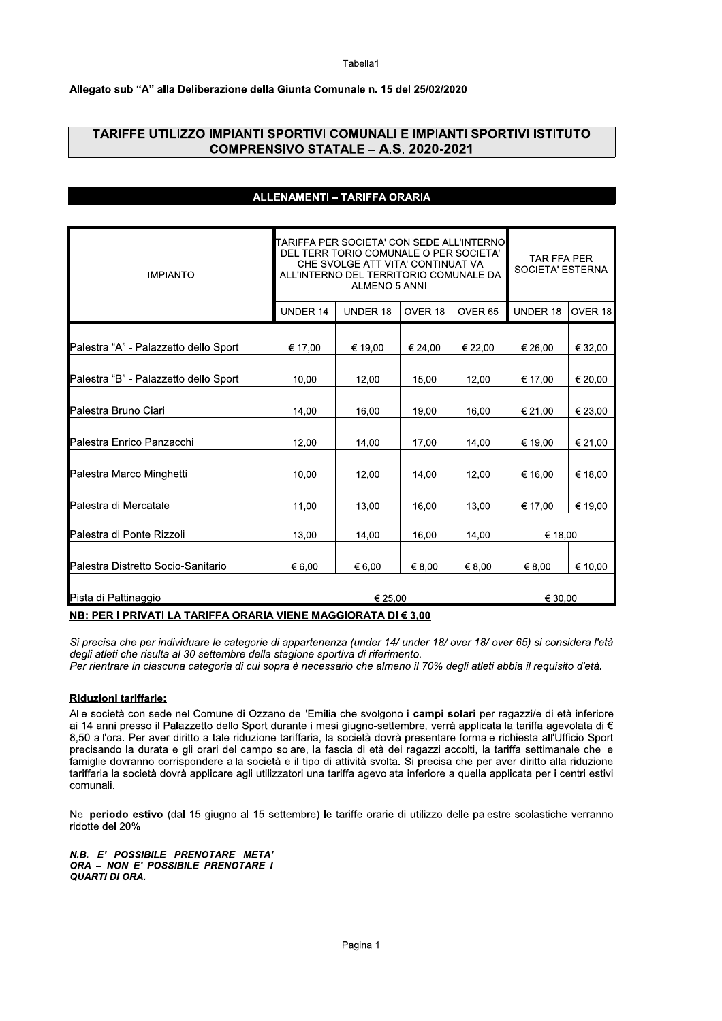# **abella**<sup>1</sup>

### Allegato sub "A" alla Deliberazione della Giunta Comunale n. 15 del 25/02/2020

| TARIFFE UTILIZZO IMPIANTI SPORTIVI COMUNALI E IMPIANTI SPORTIVI ISTITUTO | COMPRENSIVO STATALE - A.S. 2020-2021                                                                                                                                                       |          |         |                    |                                        |         |
|--------------------------------------------------------------------------|--------------------------------------------------------------------------------------------------------------------------------------------------------------------------------------------|----------|---------|--------------------|----------------------------------------|---------|
|                                                                          |                                                                                                                                                                                            |          |         |                    |                                        |         |
|                                                                          | ALLENAMENTI - TARIFFA ORARIA                                                                                                                                                               |          |         |                    |                                        |         |
| <b>IMPIANTO</b>                                                          | TARIFFA PER SOCIETA' CON SEDE ALL'INTERNO<br>DEL TERRITORIO COMUNALE O PER SOCIETA'<br>CHE SVOLGE ATTIVITA' CONTINUATIVA<br>ALL'INTERNO DEL TERRITORIO COMUNALE DA<br><b>ALMENO 5 ANNI</b> |          |         |                    | <b>TARIFFA PER</b><br>SOCIETA' ESTERNA |         |
|                                                                          | UNDER 14                                                                                                                                                                                   | UNDER 18 | OVER 18 | OVER <sub>65</sub> | <b>UNDER 18</b>                        | OVER 18 |
| Palestra "A" - Palazzetto dello Sport                                    | € 17,00                                                                                                                                                                                    | € 19,00  | € 24,00 | € 22,00            | € 26,00                                | € 32,00 |
| Palestra "B" - Palazzetto dello Sport                                    | 10,00                                                                                                                                                                                      | 12,00    | 15,00   | 12,00              | € 17,00                                | € 20,00 |
| Palestra Bruno Ciari                                                     | 14,00                                                                                                                                                                                      | 16,00    | 19,00   | 16,00              | € 21,00                                | € 23,00 |
| Palestra Enrico Panzacchi                                                | 12,00                                                                                                                                                                                      | 14,00    | 17,00   | 14,00              | € 19,00                                | € 21,00 |
| Palestra Marco Minghetti                                                 | 10,00                                                                                                                                                                                      | 12,00    | 14,00   | 12,00              | € 16,00                                | € 18,00 |
| Palestra di Mercatale                                                    | 11,00                                                                                                                                                                                      | 13,00    | 16,00   | 13.00              | € 17,00                                | € 19,00 |
| Palestra di Ponte Rizzoli                                                | 13,00                                                                                                                                                                                      | 14,00    | 16,00   | 14.00              | € 18,00                                |         |
| Palestra Distretto Socio-Sanitario                                       | € 6,00                                                                                                                                                                                     | € 6,00   | € 8,00  | € 8,00             | € 8,00                                 | € 10,00 |
| Pista di Pattinaggio                                                     |                                                                                                                                                                                            | € 25,00  |         |                    | € 30,00                                |         |
| NB: PER I PRIVATI LA TARIFFA ORARIA VIENE MAGGIORATA DI € 3,00           |                                                                                                                                                                                            |          |         |                    |                                        |         |

Alle società con sede nel Comune di Ozzano dell'Emilia che svolgono i **campi solari** per ragazzi/e di eta inferiore al 14 anni presso il Palazzetto dello Sport durante i mesi giugno-settembre, verra applicata la tariffa agevolata di € 8,50 all'ora. Per aver diritto a tale riduzione tariffaria, la società dovra presentare formale richiesta all'Ufficio Sport precisando la durata e gli orari del campo solare, la fascia di eta del ragazzi accolti, la tariffa settimanale che le  $t$ amiglie dovranno corrispondere alla società e il tipo di attività svolta. Si precisa che per aver diritto alla riduzione  $\tan$ maria la societa dovra applicare agli utilizzatori una tariffa agevolata inferiore a quella applicata per i centri estivi comunali.

Nel **periodo estivo** (dal 15 giugno al 15 settembre) le tariffe orarie di utilizzo delle palestre scolastiche verranno ridotte del 20%

N.B. E' POSSIBILE PRENOTARE META' ORA - NON E' POSSIBILE PRENOTARE I QUARTI DI ORA.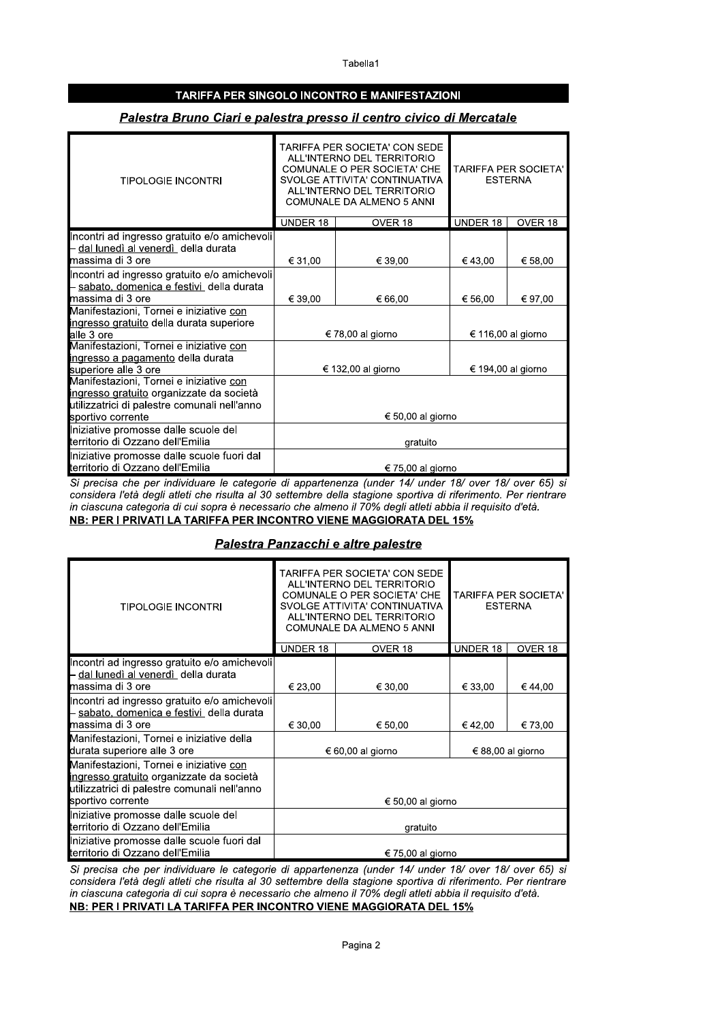Tabella1

### TARIFFA PER SINGOLO INCONTRO E MANIFESTAZIONI

### Palestra Bruno Ciari e palestra presso il centro civico di Mercatale

| <b>TIPOLOGIE INCONTRI</b>                                                                                                                                |                    | TARIFFA PER SOCIETA' CON SEDE<br>ALL'INTERNO DEL TERRITORIO<br>COMUNALE O PER SOCIETA' CHE<br>SVOLGE ATTIVITA' CONTINUATIVA<br>ALL'INTERNO DEL TERRITORIO<br>COMUNALE DA ALMENO 5 ANNI | <b>TARIFFA PER SOCIETA'</b><br><b>ESTERNA</b> |         |  |
|----------------------------------------------------------------------------------------------------------------------------------------------------------|--------------------|----------------------------------------------------------------------------------------------------------------------------------------------------------------------------------------|-----------------------------------------------|---------|--|
|                                                                                                                                                          | <b>UNDER 18</b>    | OVER 18                                                                                                                                                                                | UNDER 18                                      | OVER 18 |  |
| Incontri ad ingresso gratuito e/o amichevoli<br>- dal lunedì al venerdì della durata<br><b>I</b> massima di 3 ore                                        | € 31,00            | € 39,00                                                                                                                                                                                | €43,00                                        | € 58,00 |  |
| Incontri ad ingresso gratuito e/o amichevoli<br>sabato, domenica e festivi_della durata<br>∎massima di 3 ore                                             | € 39,00            | € 66,00                                                                                                                                                                                | € 56.00                                       | € 97,00 |  |
| Manifestazioni, Tornei e iniziative con<br>ingresso gratuito della durata superiore<br>alle 3 ore                                                        |                    | € 78,00 al giorno                                                                                                                                                                      | € 116,00 al giorno                            |         |  |
| Manifestazioni, Tornei e iniziative con<br>ingresso a pagamento della durata<br>superiore alle 3 ore                                                     | € 132,00 al giorno |                                                                                                                                                                                        | € 194,00 al giorno                            |         |  |
| Manifestazioni, Tornei e iniziative con<br>ingresso gratuito organizzate da società<br>utilizzatrici di palestre comunali nell'anno<br>sportivo corrente |                    | € 50,00 al giorno                                                                                                                                                                      |                                               |         |  |
| Iniziative promosse dalle scuole del<br>territorio di Ozzano dell'Emilia                                                                                 | gratuito           |                                                                                                                                                                                        |                                               |         |  |
| Iniziative promosse dalle scuole fuori dal<br>territorio di Ozzano dell'Emilia                                                                           | € 75,00 al giorno  |                                                                                                                                                                                        |                                               |         |  |

Si precisa che per individuare le categorie di appartenenza (under 14/ under 18/ over 18/ over 65) si considera l'età degli atleti che risulta al 30 settembre della stagione sportiva di riferimento. Per rientrare in ciascuna categoria di cui sopra è necessario che almeno il 70% degli atleti abbia il requisito d'età. NB: PER I PRIVATI LA TARIFFA PER INCONTRO VIENE MAGGIORATA DEL 15%

### Palestra Panzacchi e altre palestre

| <b>TIPOLOGIE INCONTRI</b>                                                                                                                                |                   | TARIFFA PER SOCIETA' CON SEDE<br>ALL'INTERNO DEL TERRITORIO<br>COMUNALE O PER SOCIETA' CHE<br>SVOLGE ATTIVITA' CONTINUATIVA<br>ALL'INTERNO DEL TERRITORIO<br>COMUNALE DA ALMENO 5 ANNI | TARIFFA PER SOCIETA'<br><b>ESTERNA</b> |         |  |
|----------------------------------------------------------------------------------------------------------------------------------------------------------|-------------------|----------------------------------------------------------------------------------------------------------------------------------------------------------------------------------------|----------------------------------------|---------|--|
|                                                                                                                                                          | UNDER 18          | OVER 18                                                                                                                                                                                | UNDER 18                               | OVER 18 |  |
| Incontri ad ingresso gratuito e/o amichevoli<br>- dal lunedì al venerdì della durata<br>massima di 3 ore                                                 | € 23,00           | € 30,00                                                                                                                                                                                | € 33.00                                | €44.00  |  |
| Incontri ad ingresso gratuito e/o amichevoli<br>sabato, domenica e festivi della durata<br><b>I</b> massima di 3 ore                                     | € 30,00           | € 50.00                                                                                                                                                                                | € 42,00                                | € 73.00 |  |
| Manifestazioni, Tornei e iniziative della<br>durata superiore alle 3 ore                                                                                 |                   | € 60,00 al giorno                                                                                                                                                                      | € 88,00 al giorno                      |         |  |
| Manifestazioni, Tornei e iniziative con<br>ingresso gratuito organizzate da società<br>utilizzatrici di palestre comunali nell'anno<br>sportivo corrente |                   | € 50,00 al giorno                                                                                                                                                                      |                                        |         |  |
| Iniziative promosse dalle scuole del<br>territorio di Ozzano dell'Emilia                                                                                 | gratuito          |                                                                                                                                                                                        |                                        |         |  |
| Iniziative promosse dalle scuole fuori dal<br>territorio di Ozzano dell'Emilia                                                                           | € 75,00 al giorno |                                                                                                                                                                                        |                                        |         |  |

Si precisa che per individuare le categorie di appartenenza (under 14/ under 18/ over 18/ over 65) si considera l'età degli atleti che risulta al 30 settembre della stagione sportiva di riferimento. Per rientrare in ciascuna categoria di cui sopra è necessario che almeno il 70% degli atleti abbia il requisito d'età. NB: PER I PRIVATI LA TARIFFA PER INCONTRO VIENE MAGGIORATA DEL 15%